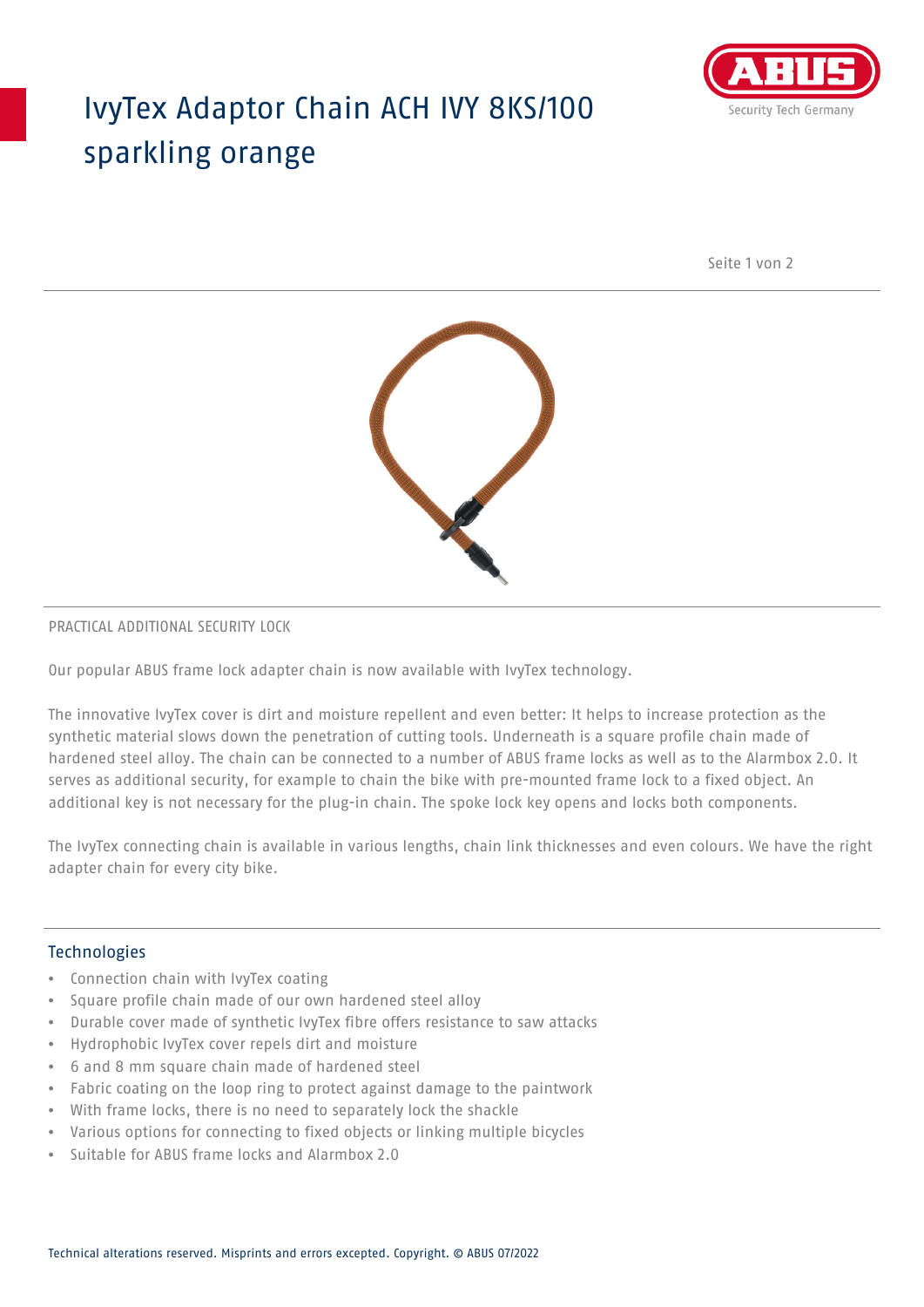## IvyTex Adaptor Chain ACH IVY 8KS/100 sparkling orange



Seite 1 von 2



### PRACTICAL ADDITIONAL SECURITY LOCK

Our popular ABUS frame lock adapter chain is now available with IvyTex technology.

The innovative IvyTex cover is dirt and moisture repellent and even better: It helps to increase protection as the synthetic material slows down the penetration of cutting tools. Underneath is a square profile chain made of hardened steel alloy. The chain can be connected to a number of ABUS frame locks as well as to the Alarmbox 2.0. It serves as additional security, for example to chain the bike with pre-mounted frame lock to a fixed object. An additional key is not necessary for the plug-in chain. The spoke lock key opens and locks both components.

The IvyTex connecting chain is available in various lengths, chain link thicknesses and even colours. We have the right adapter chain for every city bike.

### Technologies

- Connection chain with IvyTex coating
- Square profile chain made of our own hardened steel alloy
- Durable cover made of synthetic IvyTex fibre offers resistance to saw attacks
- Hydrophobic IvyTex cover repels dirt and moisture
- 6 and 8 mm square chain made of hardened steel
- Fabric coating on the loop ring to protect against damage to the paintwork
- With frame locks, there is no need to separately lock the shackle
- Various options for connecting to fixed objects or linking multiple bicycles
- Suitable for ABUS frame locks and Alarmbox 2.0